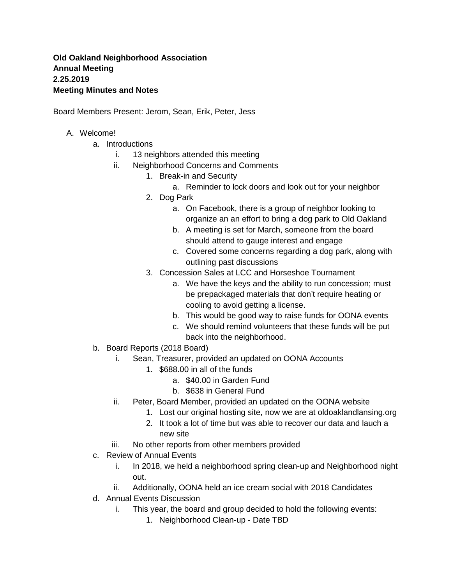## **Old Oakland Neighborhood Association Annual Meeting 2.25.2019 Meeting Minutes and Notes**

Board Members Present: Jerom, Sean, Erik, Peter, Jess

## A. Welcome!

- a. Introductions
	- i. 13 neighbors attended this meeting
	- ii. Neighborhood Concerns and Comments
		- 1. Break-in and Security
			- a. Reminder to lock doors and look out for your neighbor
		- 2. Dog Park
			- a. On Facebook, there is a group of neighbor looking to organize an an effort to bring a dog park to Old Oakland
			- b. A meeting is set for March, someone from the board should attend to gauge interest and engage
			- c. Covered some concerns regarding a dog park, along with outlining past discussions
		- 3. Concession Sales at LCC and Horseshoe Tournament
			- a. We have the keys and the ability to run concession; must be prepackaged materials that don't require heating or cooling to avoid getting a license.
			- b. This would be good way to raise funds for OONA events
			- c. We should remind volunteers that these funds will be put back into the neighborhood.
- b. Board Reports (2018 Board)
	- i. Sean, Treasurer, provided an updated on OONA Accounts
		- 1. \$688.00 in all of the funds
			- a. \$40.00 in Garden Fund
			- b. \$638 in General Fund
	- ii. Peter, Board Member, provided an updated on the OONA website
		- 1. Lost our original hosting site, now we are at oldoaklandlansing.org
		- 2. It took a lot of time but was able to recover our data and lauch a new site
	- iii. No other reports from other members provided
- c. Review of Annual Events
	- i. In 2018, we held a neighborhood spring clean-up and Neighborhood night out.
	- ii. Additionally, OONA held an ice cream social with 2018 Candidates
- d. Annual Events Discussion
	- i. This year, the board and group decided to hold the following events:
		- 1. Neighborhood Clean-up Date TBD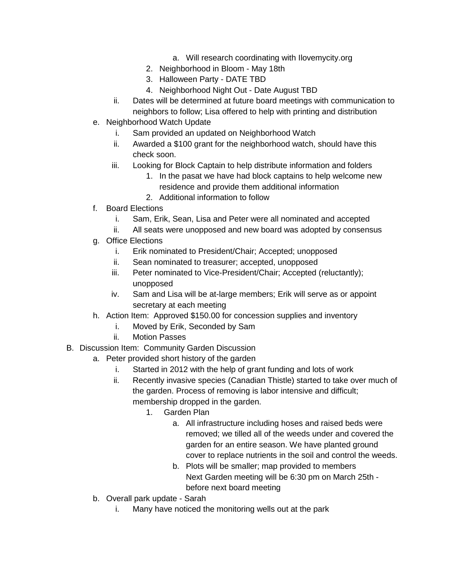- a. Will research coordinating with Ilovemycity.org
- 2. Neighborhood in Bloom May 18th
- 3. Halloween Party DATE TBD
- 4. Neighborhood Night Out Date August TBD
- ii. Dates will be determined at future board meetings with communication to neighbors to follow; Lisa offered to help with printing and distribution
- e. Neighborhood Watch Update
	- i. Sam provided an updated on Neighborhood Watch
	- ii. Awarded a \$100 grant for the neighborhood watch, should have this check soon.
	- iii. Looking for Block Captain to help distribute information and folders
		- 1. In the pasat we have had block captains to help welcome new residence and provide them additional information
		- 2. Additional information to follow
- f. Board Elections
	- i. Sam, Erik, Sean, Lisa and Peter were all nominated and accepted
	- ii. All seats were unopposed and new board was adopted by consensus
- g. Office Elections
	- i. Erik nominated to President/Chair; Accepted; unopposed
	- ii. Sean nominated to treasurer; accepted, unopposed
	- iii. Peter nominated to Vice-President/Chair; Accepted (reluctantly); unopposed
	- iv. Sam and Lisa will be at-large members; Erik will serve as or appoint secretary at each meeting
- h. Action Item: Approved \$150.00 for concession supplies and inventory
	- i. Moved by Erik, Seconded by Sam
	- ii. Motion Passes
- B. Discussion Item: Community Garden Discussion
	- a. Peter provided short history of the garden
		- i. Started in 2012 with the help of grant funding and lots of work
		- ii. Recently invasive species (Canadian Thistle) started to take over much of the garden. Process of removing is labor intensive and difficult; membership dropped in the garden.
			- 1. Garden Plan
				- a. All infrastructure including hoses and raised beds were removed; we tilled all of the weeds under and covered the garden for an entire season. We have planted ground cover to replace nutrients in the soil and control the weeds.
				- b. Plots will be smaller; map provided to members Next Garden meeting will be 6:30 pm on March 25th before next board meeting
	- b. Overall park update Sarah
		- i. Many have noticed the monitoring wells out at the park